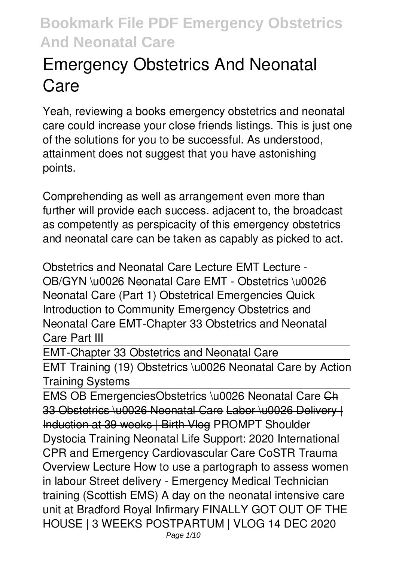# **Emergency Obstetrics And Neonatal Care**

Yeah, reviewing a books **emergency obstetrics and neonatal care** could increase your close friends listings. This is just one of the solutions for you to be successful. As understood, attainment does not suggest that you have astonishing points.

Comprehending as well as arrangement even more than further will provide each success. adjacent to, the broadcast as competently as perspicacity of this emergency obstetrics and neonatal care can be taken as capably as picked to act.

*Obstetrics and Neonatal Care Lecture EMT Lecture - OB/GYN \u0026 Neonatal Care EMT - Obstetrics \u0026 Neonatal Care (Part 1) Obstetrical Emergencies Quick Introduction to Community Emergency Obstetrics and Neonatal Care EMT-Chapter 33 Obstetrics and Neonatal Care Part III*

EMT-Chapter 33 Obstetrics and Neonatal Care

EMT Training (19) Obstetrics \u0026 Neonatal Care by Action Training Systems

EMS OB Emergencies*Obstetrics \u0026 Neonatal Care* Ch 33 Obstetrics \u0026 Neonatal Care Labor \u0026 Delivery | Induction at 39 weeks | Birth Vlog PROMPT Shoulder Dystocia Training **Neonatal Life Support: 2020 International CPR and Emergency Cardiovascular Care CoSTR Trauma Overview Lecture** *How to use a partograph to assess women in labour Street delivery - Emergency Medical Technician training (Scottish EMS) A day on the neonatal intensive care unit at Bradford Royal Infirmary FINALLY GOT OUT OF THE HOUSE | 3 WEEKS POSTPARTUM | VLOG 14 DEC 2020*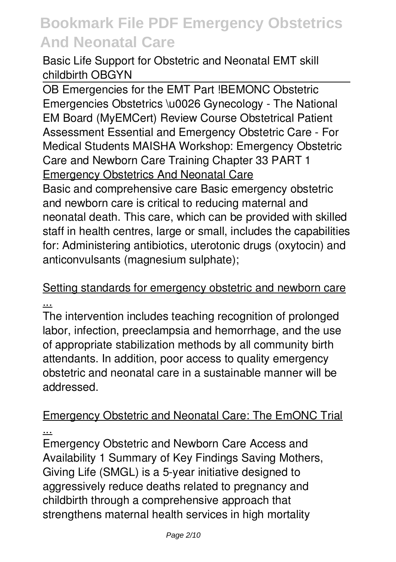**Basic Life Support for Obstetric and Neonatal** *EMT skill childbirth OBGYN*

OB Emergencies for the EMT Part !*BEMONC Obstetric Emergencies* Obstetrics \u0026 Gynecology - The National EM Board (MyEMCert) Review Course *Obstetrical Patient Assessment Essential and Emergency Obstetric Care - For Medical Students MAISHA Workshop: Emergency Obstetric Care and Newborn Care Training* **Chapter 33 PART 1** Emergency Obstetrics And Neonatal Care

Basic and comprehensive care Basic emergency obstetric and newborn care is critical to reducing maternal and neonatal death. This care, which can be provided with skilled staff in health centres, large or small, includes the capabilities for: Administering antibiotics, uterotonic drugs (oxytocin) and anticonvulsants (magnesium sulphate);

#### Setting standards for emergency obstetric and newborn care ...

The intervention includes teaching recognition of prolonged labor, infection, preeclampsia and hemorrhage, and the use of appropriate stabilization methods by all community birth attendants. In addition, poor access to quality emergency obstetric and neonatal care in a sustainable manner will be addressed.

#### Emergency Obstetric and Neonatal Care: The EmONC Trial ...

Emergency Obstetric and Newborn Care Access and Availability 1 Summary of Key Findings Saving Mothers, Giving Life (SMGL) is a 5-year initiative designed to aggressively reduce deaths related to pregnancy and childbirth through a comprehensive approach that strengthens maternal health services in high mortality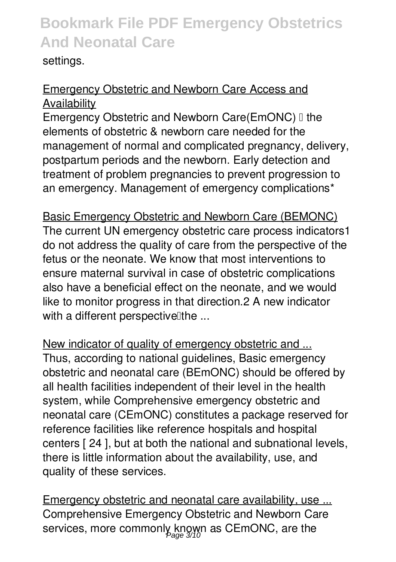#### settings.

#### Emergency Obstetric and Newborn Care Access and Availability

Emergency Obstetric and Newborn Care(EmONC) I the elements of obstetric & newborn care needed for the management of normal and complicated pregnancy, delivery, postpartum periods and the newborn. Early detection and treatment of problem pregnancies to prevent progression to an emergency. Management of emergency complications\*

Basic Emergency Obstetric and Newborn Care (BEMONC) The current UN emergency obstetric care process indicators1 do not address the quality of care from the perspective of the fetus or the neonate. We know that most interventions to ensure maternal survival in case of obstetric complications also have a beneficial effect on the neonate, and we would like to monitor progress in that direction.2 A new indicator with a different perspective the  $\ldots$ 

New indicator of quality of emergency obstetric and ... Thus, according to national guidelines, Basic emergency obstetric and neonatal care (BEmONC) should be offered by all health facilities independent of their level in the health system, while Comprehensive emergency obstetric and neonatal care (CEmONC) constitutes a package reserved for reference facilities like reference hospitals and hospital centers [ 24 ], but at both the national and subnational levels, there is little information about the availability, use, and quality of these services.

Emergency obstetric and neonatal care availability, use ... Comprehensive Emergency Obstetric and Newborn Care services, more commonly known as CEmONC, are the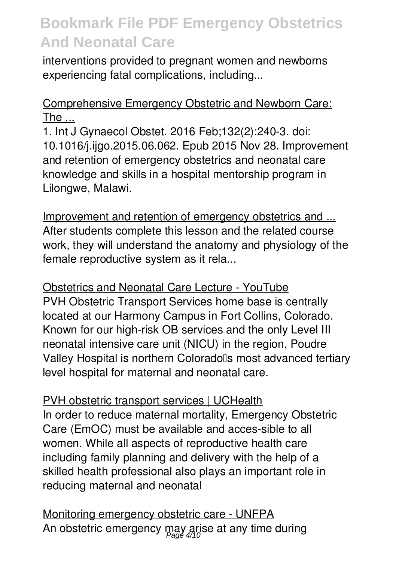interventions provided to pregnant women and newborns experiencing fatal complications, including...

#### Comprehensive Emergency Obstetric and Newborn Care: The ...

1. Int J Gynaecol Obstet. 2016 Feb;132(2):240-3. doi: 10.1016/j.ijgo.2015.06.062. Epub 2015 Nov 28. Improvement and retention of emergency obstetrics and neonatal care knowledge and skills in a hospital mentorship program in Lilongwe, Malawi.

Improvement and retention of emergency obstetrics and ... After students complete this lesson and the related course work, they will understand the anatomy and physiology of the female reproductive system as it rela...

Obstetrics and Neonatal Care Lecture - YouTube PVH Obstetric Transport Services home base is centrally located at our Harmony Campus in Fort Collins, Colorado. Known for our high-risk OB services and the only Level III neonatal intensive care unit (NICU) in the region, Poudre Valley Hospital is northern Coloradolls most advanced tertiary level hospital for maternal and neonatal care.

PVH obstetric transport services | UCHealth In order to reduce maternal mortality, Emergency Obstetric Care (EmOC) must be available and acces-sible to all women. While all aspects of reproductive health care including family planning and delivery with the help of a skilled health professional also plays an important role in reducing maternal and neonatal

Monitoring emergency obstetric care - UNFPA An obstetric emergency may arise at any time during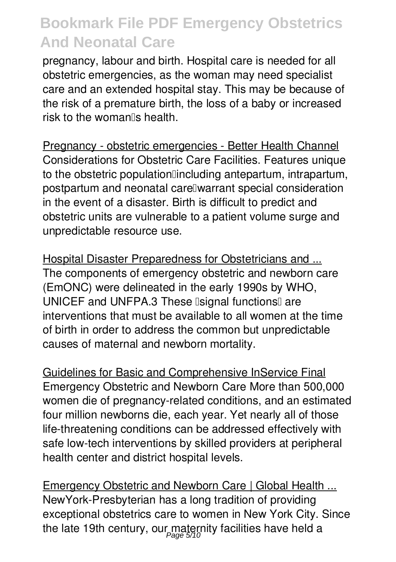pregnancy, labour and birth. Hospital care is needed for all obstetric emergencies, as the woman may need specialist care and an extended hospital stay. This may be because of the risk of a premature birth, the loss of a baby or increased risk to the woman's health.

Pregnancy - obstetric emergencies - Better Health Channel Considerations for Obstetric Care Facilities. Features unique to the obstetric population lincluding antepartum, intrapartum, postpartum and neonatal care<sup>n</sup>warrant special consideration in the event of a disaster. Birth is difficult to predict and obstetric units are vulnerable to a patient volume surge and unpredictable resource use.

Hospital Disaster Preparedness for Obstetricians and ... The components of emergency obstetric and newborn care (EmONC) were delineated in the early 1990s by WHO, UNICEF and UNFPA.3 These Isignal functions are interventions that must be available to all women at the time of birth in order to address the common but unpredictable causes of maternal and newborn mortality.

Guidelines for Basic and Comprehensive InService Final Emergency Obstetric and Newborn Care More than 500,000 women die of pregnancy-related conditions, and an estimated four million newborns die, each year. Yet nearly all of those life-threatening conditions can be addressed effectively with safe low-tech interventions by skilled providers at peripheral health center and district hospital levels.

Emergency Obstetric and Newborn Care | Global Health ... NewYork-Presbyterian has a long tradition of providing exceptional obstetrics care to women in New York City. Since the late 19th century, our maternity facilities have held a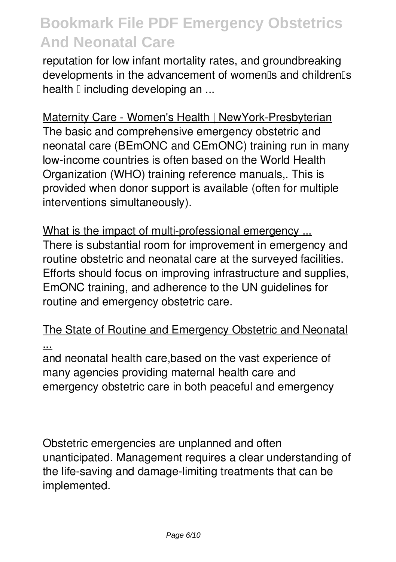reputation for low infant mortality rates, and groundbreaking developments in the advancement of women<sup>[]</sup>s and children<sup>[]</sup>s health  $\mathbb I$  including developing an ...

Maternity Care - Women's Health | NewYork-Presbyterian The basic and comprehensive emergency obstetric and

neonatal care (BEmONC and CEmONC) training run in many low-income countries is often based on the World Health Organization (WHO) training reference manuals,. This is provided when donor support is available (often for multiple interventions simultaneously).

What is the impact of multi-professional emergency ... There is substantial room for improvement in emergency and routine obstetric and neonatal care at the surveyed facilities. Efforts should focus on improving infrastructure and supplies, EmONC training, and adherence to the UN guidelines for routine and emergency obstetric care.

The State of Routine and Emergency Obstetric and Neonatal ...

and neonatal health care,based on the vast experience of many agencies providing maternal health care and emergency obstetric care in both peaceful and emergency

Obstetric emergencies are unplanned and often unanticipated. Management requires a clear understanding of the life-saving and damage-limiting treatments that can be implemented.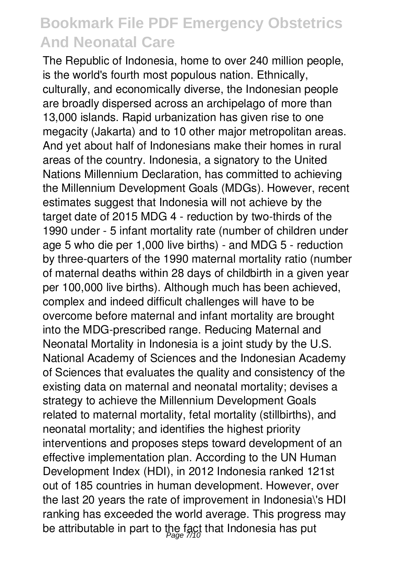The Republic of Indonesia, home to over 240 million people, is the world's fourth most populous nation. Ethnically, culturally, and economically diverse, the Indonesian people are broadly dispersed across an archipelago of more than 13,000 islands. Rapid urbanization has given rise to one megacity (Jakarta) and to 10 other major metropolitan areas. And yet about half of Indonesians make their homes in rural areas of the country. Indonesia, a signatory to the United Nations Millennium Declaration, has committed to achieving the Millennium Development Goals (MDGs). However, recent estimates suggest that Indonesia will not achieve by the target date of 2015 MDG 4 - reduction by two-thirds of the 1990 under - 5 infant mortality rate (number of children under age 5 who die per 1,000 live births) - and MDG 5 - reduction by three-quarters of the 1990 maternal mortality ratio (number of maternal deaths within 28 days of childbirth in a given year per 100,000 live births). Although much has been achieved, complex and indeed difficult challenges will have to be overcome before maternal and infant mortality are brought into the MDG-prescribed range. Reducing Maternal and Neonatal Mortality in Indonesia is a joint study by the U.S. National Academy of Sciences and the Indonesian Academy of Sciences that evaluates the quality and consistency of the existing data on maternal and neonatal mortality; devises a strategy to achieve the Millennium Development Goals related to maternal mortality, fetal mortality (stillbirths), and neonatal mortality; and identifies the highest priority interventions and proposes steps toward development of an effective implementation plan. According to the UN Human Development Index (HDI), in 2012 Indonesia ranked 121st out of 185 countries in human development. However, over the last 20 years the rate of improvement in Indonesia\'s HDI ranking has exceeded the world average. This progress may be attributable in part to the fact that Indonesia has put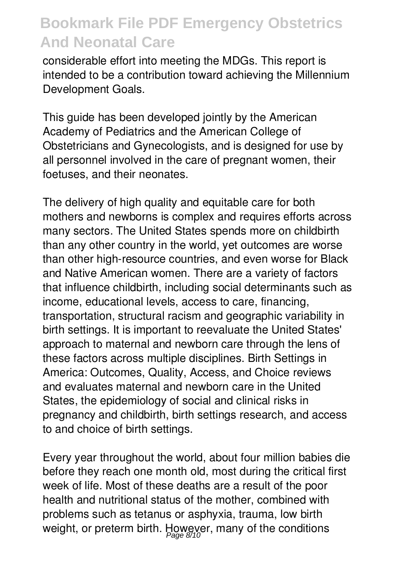considerable effort into meeting the MDGs. This report is intended to be a contribution toward achieving the Millennium Development Goals.

This guide has been developed jointly by the American Academy of Pediatrics and the American College of Obstetricians and Gynecologists, and is designed for use by all personnel involved in the care of pregnant women, their foetuses, and their neonates.

The delivery of high quality and equitable care for both mothers and newborns is complex and requires efforts across many sectors. The United States spends more on childbirth than any other country in the world, yet outcomes are worse than other high-resource countries, and even worse for Black and Native American women. There are a variety of factors that influence childbirth, including social determinants such as income, educational levels, access to care, financing, transportation, structural racism and geographic variability in birth settings. It is important to reevaluate the United States' approach to maternal and newborn care through the lens of these factors across multiple disciplines. Birth Settings in America: Outcomes, Quality, Access, and Choice reviews and evaluates maternal and newborn care in the United States, the epidemiology of social and clinical risks in pregnancy and childbirth, birth settings research, and access to and choice of birth settings.

Every year throughout the world, about four million babies die before they reach one month old, most during the critical first week of life. Most of these deaths are a result of the poor health and nutritional status of the mother, combined with problems such as tetanus or asphyxia, trauma, low birth weight, or preterm birth. However, many of the conditions<br> $\frac{Page\ 8/10}{Page\ 8/10}$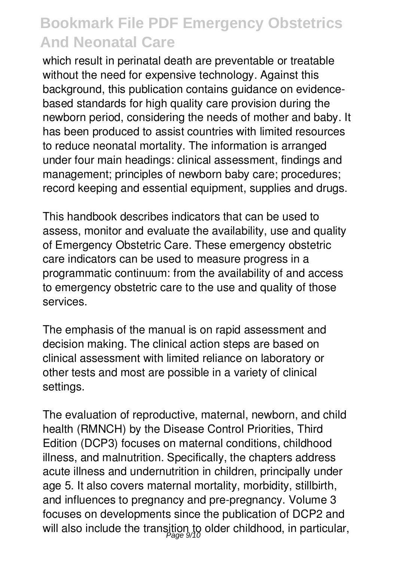which result in perinatal death are preventable or treatable without the need for expensive technology. Against this background, this publication contains guidance on evidencebased standards for high quality care provision during the newborn period, considering the needs of mother and baby. It has been produced to assist countries with limited resources to reduce neonatal mortality. The information is arranged under four main headings: clinical assessment, findings and management; principles of newborn baby care; procedures; record keeping and essential equipment, supplies and drugs.

This handbook describes indicators that can be used to assess, monitor and evaluate the availability, use and quality of Emergency Obstetric Care. These emergency obstetric care indicators can be used to measure progress in a programmatic continuum: from the availability of and access to emergency obstetric care to the use and quality of those services.

The emphasis of the manual is on rapid assessment and decision making. The clinical action steps are based on clinical assessment with limited reliance on laboratory or other tests and most are possible in a variety of clinical settings.

The evaluation of reproductive, maternal, newborn, and child health (RMNCH) by the Disease Control Priorities, Third Edition (DCP3) focuses on maternal conditions, childhood illness, and malnutrition. Specifically, the chapters address acute illness and undernutrition in children, principally under age 5. It also covers maternal mortality, morbidity, stillbirth, and influences to pregnancy and pre-pregnancy. Volume 3 focuses on developments since the publication of DCP2 and will also include the transition to older childhood, in particular,  $_{\tiny \text{Page 9/10}}$